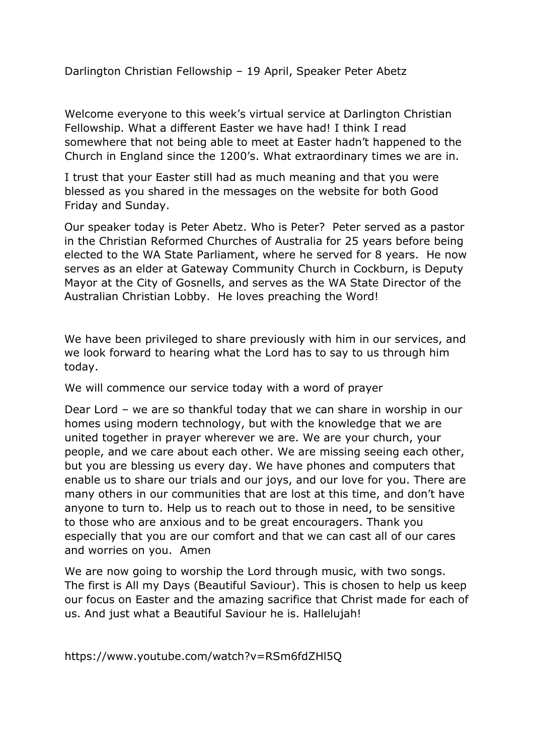Darlington Christian Fellowship – 19 April, Speaker Peter Abetz

Welcome everyone to this week's virtual service at Darlington Christian Fellowship. What a different Easter we have had! I think I read somewhere that not being able to meet at Easter hadn't happened to the Church in England since the 1200's. What extraordinary times we are in.

I trust that your Easter still had as much meaning and that you were blessed as you shared in the messages on the website for both Good Friday and Sunday.

Our speaker today is Peter Abetz. Who is Peter? Peter served as a pastor in the Christian Reformed Churches of Australia for 25 years before being elected to the WA State Parliament, where he served for 8 years. He now serves as an elder at Gateway Community Church in Cockburn, is Deputy Mayor at the City of Gosnells, and serves as the WA State Director of the Australian Christian Lobby. He loves preaching the Word!

We have been privileged to share previously with him in our services, and we look forward to hearing what the Lord has to say to us through him today.

We will commence our service today with a word of prayer

Dear Lord – we are so thankful today that we can share in worship in our homes using modern technology, but with the knowledge that we are united together in prayer wherever we are. We are your church, your people, and we care about each other. We are missing seeing each other, but you are blessing us every day. We have phones and computers that enable us to share our trials and our joys, and our love for you. There are many others in our communities that are lost at this time, and don't have anyone to turn to. Help us to reach out to those in need, to be sensitive to those who are anxious and to be great encouragers. Thank you especially that you are our comfort and that we can cast all of our cares and worries on you. Amen

We are now going to worship the Lord through music, with two songs. The first is All my Days (Beautiful Saviour). This is chosen to help us keep our focus on Easter and the amazing sacrifice that Christ made for each of us. And just what a Beautiful Saviour he is. Hallelujah!

https://www.youtube.com/watch?v=RSm6fdZHl5Q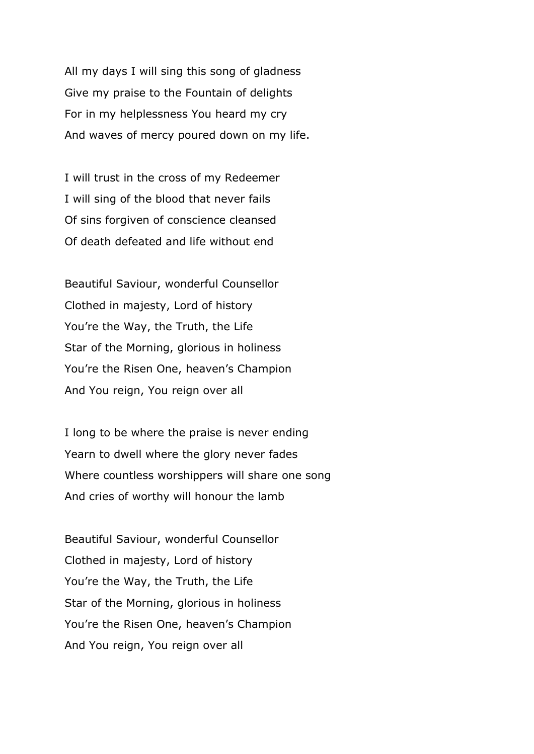All my days I will sing this song of gladness Give my praise to the Fountain of delights For in my helplessness You heard my cry And waves of mercy poured down on my life.

I will trust in the cross of my Redeemer I will sing of the blood that never fails Of sins forgiven of conscience cleansed Of death defeated and life without end

Beautiful Saviour, wonderful Counsellor Clothed in majesty, Lord of history You're the Way, the Truth, the Life Star of the Morning, glorious in holiness You're the Risen One, heaven's Champion And You reign, You reign over all

I long to be where the praise is never ending Yearn to dwell where the glory never fades Where countless worshippers will share one song And cries of worthy will honour the lamb

Beautiful Saviour, wonderful Counsellor Clothed in majesty, Lord of history You're the Way, the Truth, the Life Star of the Morning, glorious in holiness You're the Risen One, heaven's Champion And You reign, You reign over all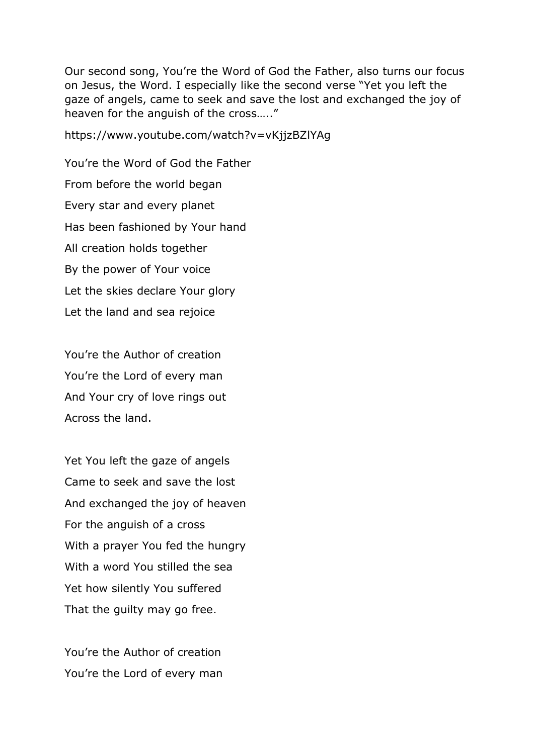Our second song, You're the Word of God the Father, also turns our focus on Jesus, the Word. I especially like the second verse "Yet you left the gaze of angels, came to seek and save the lost and exchanged the joy of heaven for the anguish of the cross….."

https://www.youtube.com/watch?v=vKjjzBZlYAg

You're the Word of God the Father From before the world began Every star and every planet Has been fashioned by Your hand All creation holds together By the power of Your voice Let the skies declare Your glory Let the land and sea rejoice

You're the Author of creation You're the Lord of every man And Your cry of love rings out Across the land.

Yet You left the gaze of angels Came to seek and save the lost And exchanged the joy of heaven For the anguish of a cross With a prayer You fed the hungry With a word You stilled the sea Yet how silently You suffered That the guilty may go free.

You're the Author of creation You're the Lord of every man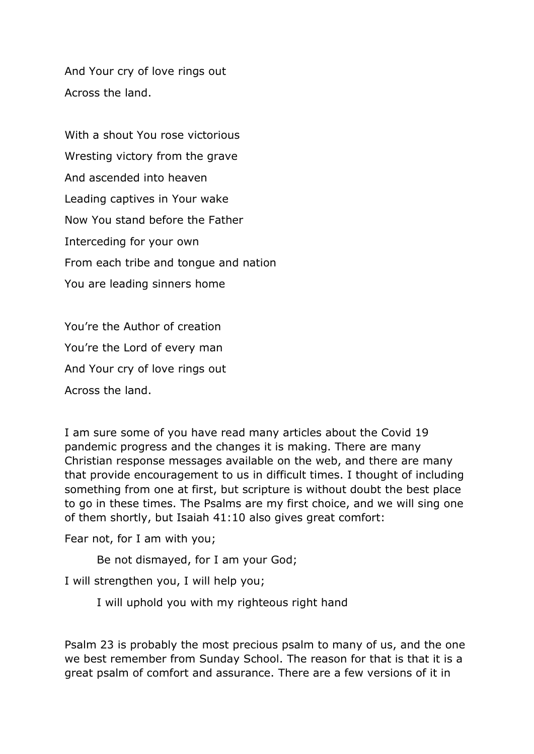And Your cry of love rings out Across the land.

With a shout You rose victorious Wresting victory from the grave And ascended into heaven Leading captives in Your wake Now You stand before the Father Interceding for your own From each tribe and tongue and nation You are leading sinners home

You're the Author of creation You're the Lord of every man And Your cry of love rings out Across the land.

I am sure some of you have read many articles about the Covid 19 pandemic progress and the changes it is making. There are many Christian response messages available on the web, and there are many that provide encouragement to us in difficult times. I thought of including something from one at first, but scripture is without doubt the best place to go in these times. The Psalms are my first choice, and we will sing one of them shortly, but Isaiah 41:10 also gives great comfort:

Fear not, for I am with you;

Be not dismayed, for I am your God;

I will strengthen you, I will help you;

I will uphold you with my righteous right hand

Psalm 23 is probably the most precious psalm to many of us, and the one we best remember from Sunday School. The reason for that is that it is a great psalm of comfort and assurance. There are a few versions of it in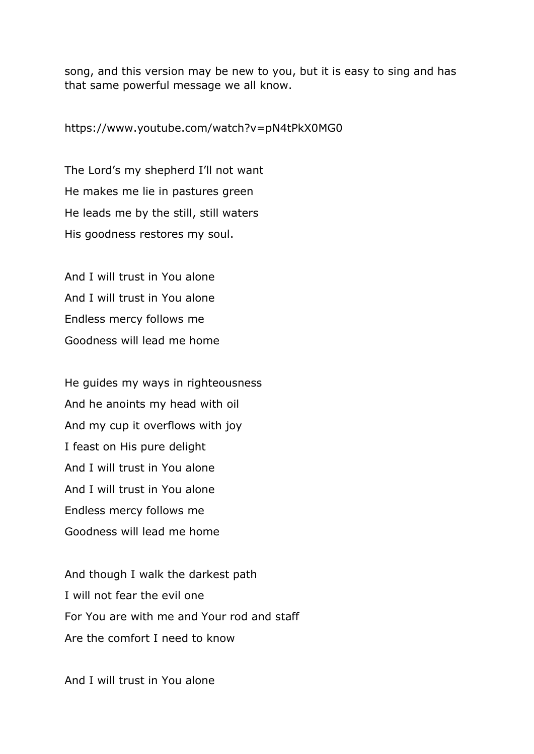song, and this version may be new to you, but it is easy to sing and has that same powerful message we all know.

https://www.youtube.com/watch?v=pN4tPkX0MG0

The Lord's my shepherd I'll not want He makes me lie in pastures green He leads me by the still, still waters His goodness restores my soul.

And I will trust in You alone And I will trust in You alone Endless mercy follows me Goodness will lead me home

He guides my ways in righteousness And he anoints my head with oil And my cup it overflows with joy I feast on His pure delight And I will trust in You alone And I will trust in You alone Endless mercy follows me Goodness will lead me home

And though I walk the darkest path I will not fear the evil one For You are with me and Your rod and staff Are the comfort I need to know

And I will trust in You alone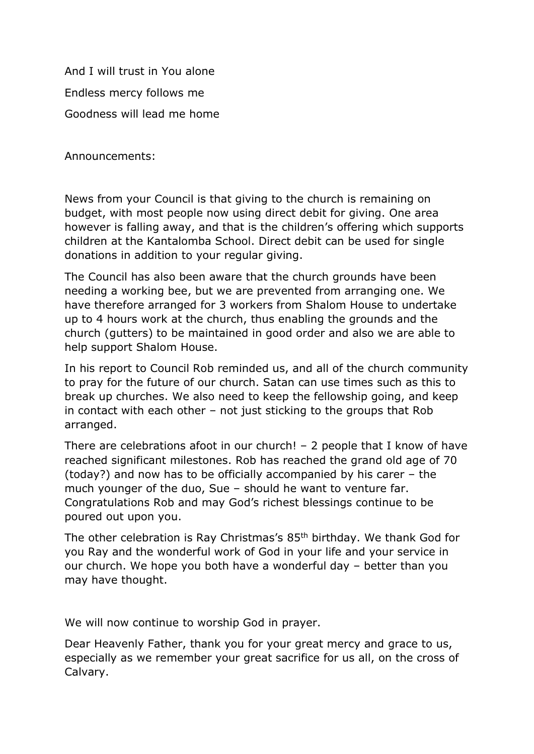And I will trust in You alone Endless mercy follows me Goodness will lead me home

Announcements:

News from your Council is that giving to the church is remaining on budget, with most people now using direct debit for giving. One area however is falling away, and that is the children's offering which supports children at the Kantalomba School. Direct debit can be used for single donations in addition to your regular giving.

The Council has also been aware that the church grounds have been needing a working bee, but we are prevented from arranging one. We have therefore arranged for 3 workers from Shalom House to undertake up to 4 hours work at the church, thus enabling the grounds and the church (gutters) to be maintained in good order and also we are able to help support Shalom House.

In his report to Council Rob reminded us, and all of the church community to pray for the future of our church. Satan can use times such as this to break up churches. We also need to keep the fellowship going, and keep in contact with each other – not just sticking to the groups that Rob arranged.

There are celebrations afoot in our church! – 2 people that I know of have reached significant milestones. Rob has reached the grand old age of 70 (today?) and now has to be officially accompanied by his carer – the much younger of the duo, Sue – should he want to venture far. Congratulations Rob and may God's richest blessings continue to be poured out upon you.

The other celebration is Ray Christmas's 85<sup>th</sup> birthday. We thank God for you Ray and the wonderful work of God in your life and your service in our church. We hope you both have a wonderful day – better than you may have thought.

We will now continue to worship God in prayer.

Dear Heavenly Father, thank you for your great mercy and grace to us, especially as we remember your great sacrifice for us all, on the cross of Calvary.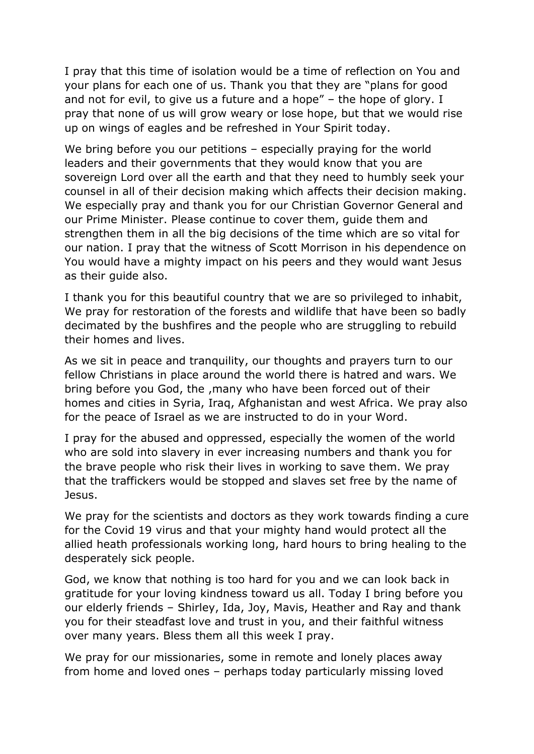I pray that this time of isolation would be a time of reflection on You and your plans for each one of us. Thank you that they are "plans for good and not for evil, to give us a future and a hope" – the hope of glory. I pray that none of us will grow weary or lose hope, but that we would rise up on wings of eagles and be refreshed in Your Spirit today.

We bring before you our petitions – especially praying for the world leaders and their governments that they would know that you are sovereign Lord over all the earth and that they need to humbly seek your counsel in all of their decision making which affects their decision making. We especially pray and thank you for our Christian Governor General and our Prime Minister. Please continue to cover them, guide them and strengthen them in all the big decisions of the time which are so vital for our nation. I pray that the witness of Scott Morrison in his dependence on You would have a mighty impact on his peers and they would want Jesus as their guide also.

I thank you for this beautiful country that we are so privileged to inhabit, We pray for restoration of the forests and wildlife that have been so badly decimated by the bushfires and the people who are struggling to rebuild their homes and lives.

As we sit in peace and tranquility, our thoughts and prayers turn to our fellow Christians in place around the world there is hatred and wars. We bring before you God, the ,many who have been forced out of their homes and cities in Syria, Iraq, Afghanistan and west Africa. We pray also for the peace of Israel as we are instructed to do in your Word.

I pray for the abused and oppressed, especially the women of the world who are sold into slavery in ever increasing numbers and thank you for the brave people who risk their lives in working to save them. We pray that the traffickers would be stopped and slaves set free by the name of Jesus.

We pray for the scientists and doctors as they work towards finding a cure for the Covid 19 virus and that your mighty hand would protect all the allied heath professionals working long, hard hours to bring healing to the desperately sick people.

God, we know that nothing is too hard for you and we can look back in gratitude for your loving kindness toward us all. Today I bring before you our elderly friends – Shirley, Ida, Joy, Mavis, Heather and Ray and thank you for their steadfast love and trust in you, and their faithful witness over many years. Bless them all this week I pray.

We pray for our missionaries, some in remote and lonely places away from home and loved ones – perhaps today particularly missing loved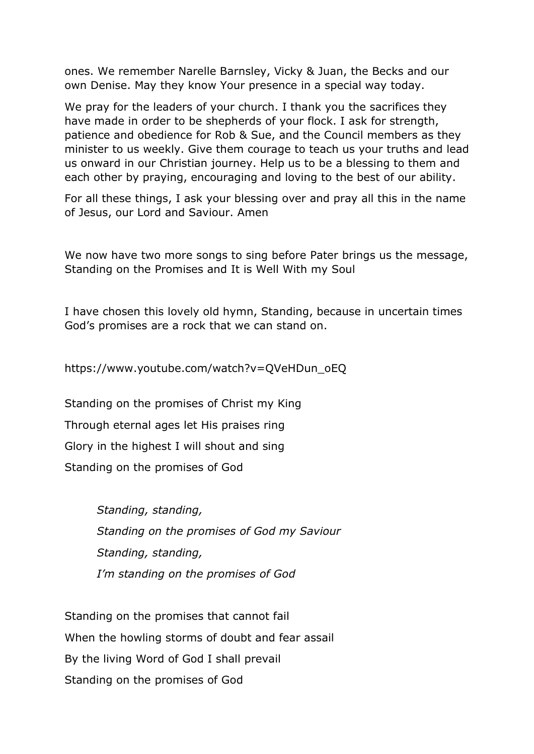ones. We remember Narelle Barnsley, Vicky & Juan, the Becks and our own Denise. May they know Your presence in a special way today.

We pray for the leaders of your church. I thank you the sacrifices they have made in order to be shepherds of your flock. I ask for strength, patience and obedience for Rob & Sue, and the Council members as they minister to us weekly. Give them courage to teach us your truths and lead us onward in our Christian journey. Help us to be a blessing to them and each other by praying, encouraging and loving to the best of our ability.

For all these things, I ask your blessing over and pray all this in the name of Jesus, our Lord and Saviour. Amen

We now have two more songs to sing before Pater brings us the message, Standing on the Promises and It is Well With my Soul

I have chosen this lovely old hymn, Standing, because in uncertain times God's promises are a rock that we can stand on.

https://www.youtube.com/watch?v=QVeHDun\_oEQ

Standing on the promises of Christ my King Through eternal ages let His praises ring Glory in the highest I will shout and sing Standing on the promises of God

> Standing, standing, Standing on the promises of God my Saviour Standing, standing, I'm standing on the promises of God

Standing on the promises that cannot fail When the howling storms of doubt and fear assail By the living Word of God I shall prevail Standing on the promises of God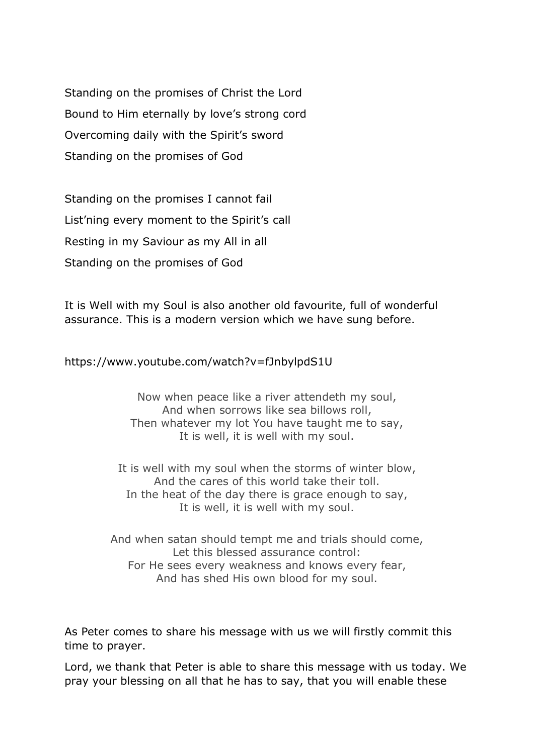Standing on the promises of Christ the Lord Bound to Him eternally by love's strong cord Overcoming daily with the Spirit's sword Standing on the promises of God

Standing on the promises I cannot fail List'ning every moment to the Spirit's call Resting in my Saviour as my All in all Standing on the promises of God

It is Well with my Soul is also another old favourite, full of wonderful assurance. This is a modern version which we have sung before.

https://www.youtube.com/watch?v=fJnbylpdS1U

Now when peace like a river attendeth my soul, And when sorrows like sea billows roll, Then whatever my lot You have taught me to say, It is well, it is well with my soul.

It is well with my soul when the storms of winter blow, And the cares of this world take their toll. In the heat of the day there is grace enough to say, It is well, it is well with my soul.

And when satan should tempt me and trials should come, Let this blessed assurance control: For He sees every weakness and knows every fear, And has shed His own blood for my soul.

As Peter comes to share his message with us we will firstly commit this time to prayer.

Lord, we thank that Peter is able to share this message with us today. We pray your blessing on all that he has to say, that you will enable these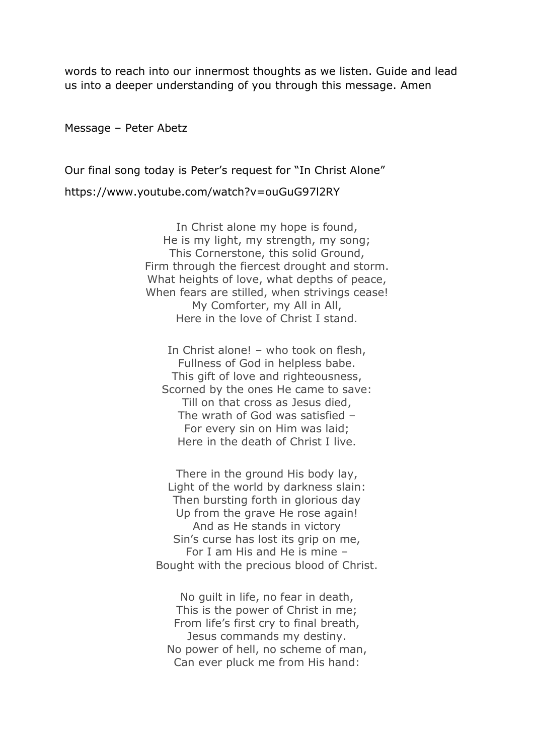words to reach into our innermost thoughts as we listen. Guide and lead us into a deeper understanding of you through this message. Amen

Message – Peter Abetz

Our final song today is Peter's request for "In Christ Alone" https://www.youtube.com/watch?v=ouGuG97l2RY

> In Christ alone my hope is found, He is my light, my strength, my song; This Cornerstone, this solid Ground, Firm through the fiercest drought and storm. What heights of love, what depths of peace, When fears are stilled, when strivings cease! My Comforter, my All in All, Here in the love of Christ I stand.

In Christ alone! – who took on flesh, Fullness of God in helpless babe. This gift of love and righteousness, Scorned by the ones He came to save: Till on that cross as Jesus died, The wrath of God was satisfied – For every sin on Him was laid; Here in the death of Christ I live.

There in the ground His body lay, Light of the world by darkness slain: Then bursting forth in glorious day Up from the grave He rose again! And as He stands in victory Sin's curse has lost its grip on me, For I am His and He is mine – Bought with the precious blood of Christ.

No guilt in life, no fear in death, This is the power of Christ in me; From life's first cry to final breath, Jesus commands my destiny. No power of hell, no scheme of man, Can ever pluck me from His hand: